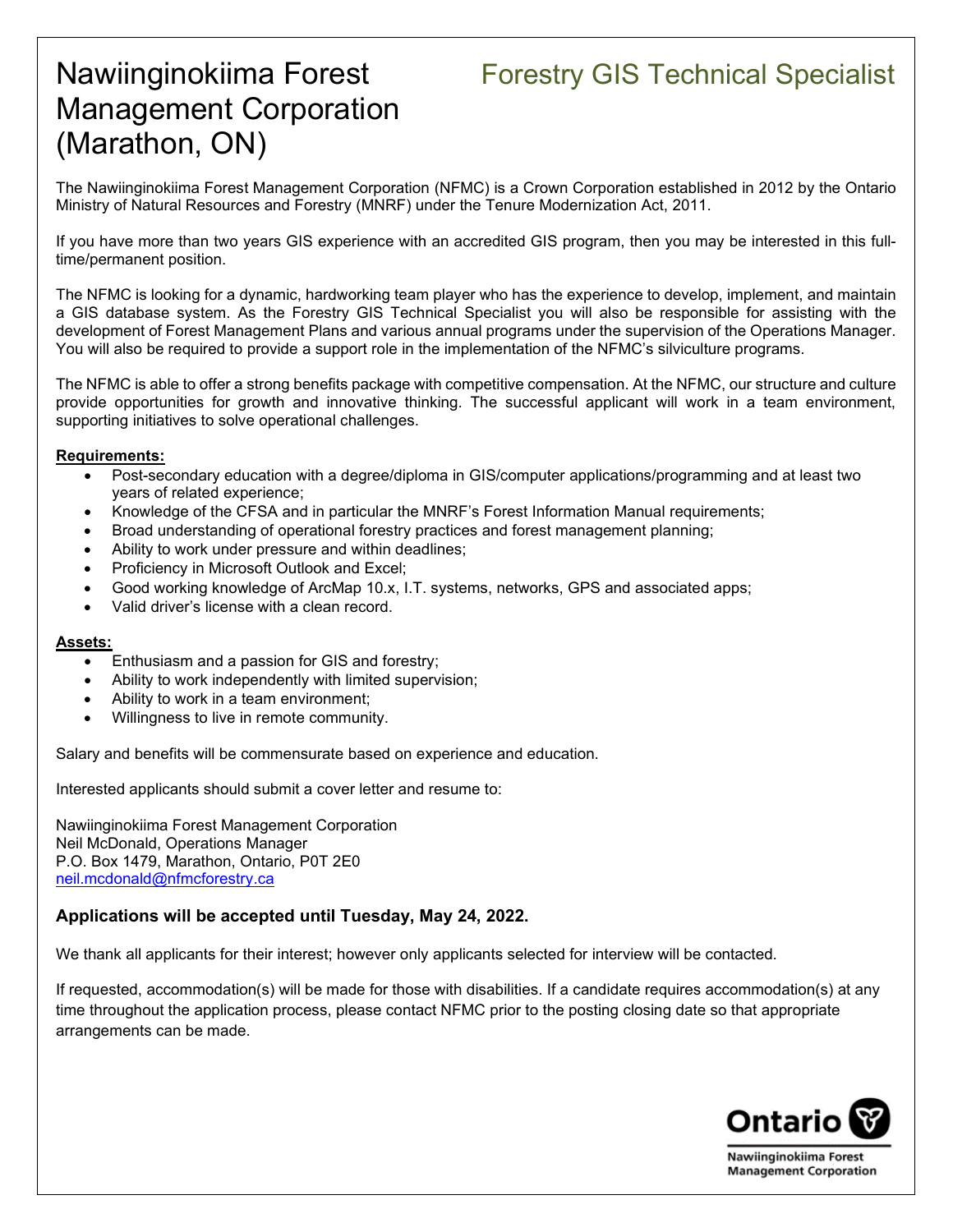# Management Corporation (Marathon, ON)

## Nawiinginokiima Forest Forestry GIS Technical Specialist

The Nawiinginokiima Forest Management Corporation (NFMC) is a Crown Corporation established in 2012 by the Ontario Ministry of Natural Resources and Forestry (MNRF) under the Tenure Modernization Act, 2011.

If you have more than two years GIS experience with an accredited GIS program, then you may be interested in this fulltime/permanent position.

The NFMC is looking for a dynamic, hardworking team player who has the experience to develop, implement, and maintain a GIS database system. As the Forestry GIS Technical Specialist you will also be responsible for assisting with the development of Forest Management Plans and various annual programs under the supervision of the Operations Manager. You will also be required to provide a support role in the implementation of the NFMC's silviculture programs.

The NFMC is able to offer a strong benefits package with competitive compensation. At the NFMC, our structure and culture provide opportunities for growth and innovative thinking. The successful applicant will work in a team environment, supporting initiatives to solve operational challenges.

#### **Requirements:**

- Post-secondary education with a degree/diploma in GIS/computer applications/programming and at least two years of related experience;
- Knowledge of the CFSA and in particular the MNRF's Forest Information Manual requirements;
- Broad understanding of operational forestry practices and forest management planning;
- Ability to work under pressure and within deadlines:
- Proficiency in Microsoft Outlook and Excel;
- Good working knowledge of ArcMap 10.x, I.T. systems, networks, GPS and associated apps;
- Valid driver's license with a clean record.

#### **Assets:**

- Enthusiasm and a passion for GIS and forestry;
- Ability to work independently with limited supervision;
- Ability to work in a team environment;
- Willingness to live in remote community.

Salary and benefits will be commensurate based on experience and education.

Interested applicants should submit a cover letter and resume to:

Nawiinginokiima Forest Management Corporation Neil McDonald, Operations Manager P.O. Box 1479, Marathon, Ontario, P0T 2E0 [neil.mcdonald@nfmcforestry.ca](mailto:neil.mcdonald@nfmcforestry.ca)

### **Applications will be accepted until Tuesday, May 24, 2022.**

We thank all applicants for their interest; however only applicants selected for interview will be contacted.

If requested, accommodation(s) will be made for those with disabilities. If a candidate requires accommodation(s) at any time throughout the application process, please contact NFMC prior to the posting closing date so that appropriate arrangements can be made.



Nawiinginokiima Forest **Management Corporation**